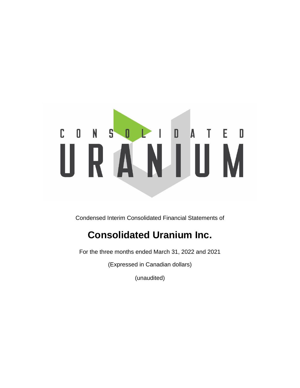## $A$   $I$   $E$   $D$  $C$   $0$   $N$   $S$  $0<sup>2</sup>$  $\overline{\phantom{a}}$ ı RANIUM Ш

Condensed Interim Consolidated Financial Statements of

# **Consolidated Uranium Inc.**

For the three months ended March 31, 2022 and 2021

(Expressed in Canadian dollars)

(unaudited)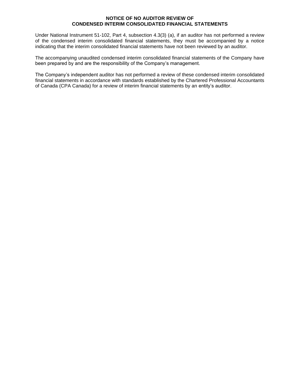## **NOTICE OF NO AUDITOR REVIEW OF CONDENSED INTERIM CONSOLIDATED FINANCIAL STATEMENTS**

Under National Instrument 51-102, Part 4, subsection 4.3(3) (a), if an auditor has not performed a review of the condensed interim consolidated financial statements, they must be accompanied by a notice indicating that the interim consolidated financial statements have not been reviewed by an auditor.

The accompanying unaudited condensed interim consolidated financial statements of the Company have been prepared by and are the responsibility of the Company's management.

The Company's independent auditor has not performed a review of these condensed interim consolidated financial statements in accordance with standards established by the Chartered Professional Accountants of Canada (CPA Canada) for a review of interim financial statements by an entity's auditor.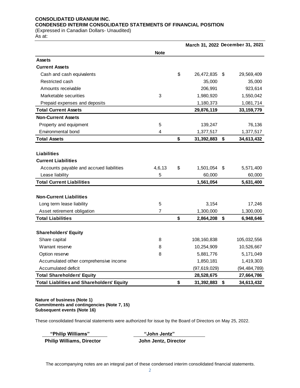## **CONSOLIDATED URANIUM INC. CONDENSED INTERIM CONSOLIDATED STATEMENTS OF FINANCIAL POSITION**

(Expressed in Canadian Dollars- Unaudited)

As at:

|                                                  |             |                  | March 31, 2022 December 31, 2021 |
|--------------------------------------------------|-------------|------------------|----------------------------------|
|                                                  | <b>Note</b> |                  |                                  |
| <b>Assets</b>                                    |             |                  |                                  |
| <b>Current Assets</b>                            |             |                  |                                  |
| Cash and cash equivalents                        |             | \$<br>26,472,835 | \$<br>29,569,409                 |
| Restricted cash                                  |             | 35,000           | 35,000                           |
| Amounts receivable                               |             | 206,991          | 923,614                          |
| Marketable securities                            | 3           | 1,980,920        | 1,550,042                        |
| Prepaid expenses and deposits                    |             | 1,180,373        | 1,081,714                        |
| <b>Total Current Assets</b>                      |             | 29,876,119       | 33, 159, 779                     |
| <b>Non-Current Assets</b>                        |             |                  |                                  |
| Property and equipment                           | 5           | 139,247          | 76,136                           |
| Environmental bond                               | 4           | 1,377,517        | 1,377,517                        |
| <b>Total Assets</b>                              |             | \$<br>31,392,883 | \$<br>34,613,432                 |
|                                                  |             |                  |                                  |
| Liabilities                                      |             |                  |                                  |
| <b>Current Liabilities</b>                       |             |                  |                                  |
| Accounts payable and accrued liabilities         | 4,6,13      | \$<br>1,501,054  | \$<br>5,571,400                  |
| Lease liability                                  | 5           | 60,000           | 60,000                           |
| <b>Total Current Liabilities</b>                 |             | 1,561,054        | 5,631,400                        |
|                                                  |             |                  |                                  |
| <b>Non-Current Liabilities</b>                   |             |                  |                                  |
| Long term lease liability                        | 5           | 3,154            | 17,246                           |
| Asset retirement obligation                      | 7           | 1,300,000        | 1,300,000                        |
| <b>Total Liabilities</b>                         |             | \$<br>2,864,208  | \$<br>6,948,646                  |
|                                                  |             |                  |                                  |
| <b>Shareholders' Equity</b>                      |             |                  |                                  |
| Share capital                                    | 8           | 108,160,838      | 105,032,556                      |
| Warrant reserve                                  | 8           | 10,254,909       | 10,526,667                       |
| Option reserve                                   | 8           | 5,881,776        | 5,171,049                        |
| Accumulated other comprehensive income           |             | 1,850,181        | 1,419,303                        |
| Accumulated deficit                              |             | (97, 619, 029)   | (94, 484, 789)                   |
| <b>Total Shareholders' Equity</b>                |             | 28,528,675       | 27,664,786                       |
| <b>Total Liablities and Shareholders' Equity</b> |             | \$<br>31,392,883 | \$<br>34,613,432                 |

**Nature of business (Note 1) Commitments and contingencies (Note 7, 15) Subsequent events (Note 16)**

These consolidated financial statements were authorized for issue by the Board of Directors on May 25, 2022.

| "Philip Williams"                | "John Jentz"         |
|----------------------------------|----------------------|
| <b>Philip Williams, Director</b> | John Jentz, Director |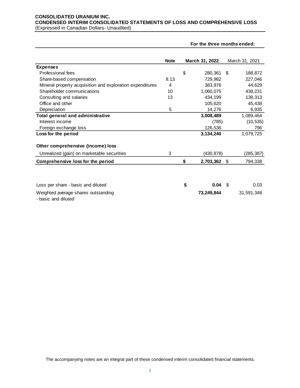## **CONSOLIDATED URANIUM INC. CONDENSED INTERIM CONSOLIDATED STATEMENTS OF LOSS AND COMPREHENSIVE LOSS** (Expressed in Canadian Dollars- Unaudited)

|                                                               |             | For the three months ended: |    |                |
|---------------------------------------------------------------|-------------|-----------------------------|----|----------------|
|                                                               | <b>Note</b> | March 31, 2022              |    | March 31, 2021 |
| <b>Expenses</b>                                               |             |                             |    |                |
| Professional fees                                             |             | \$<br>280,361               | \$ | 188,872        |
| Share-based compensation                                      | 8.13        | 729.982                     |    | 227,046        |
| Mineral property acquisition and exploration expenditures     | 4           | 383.976                     |    | 44,629         |
| Shareholder communications                                    | 10          | 1,060,075                   |    | 438,231        |
| Consulting and salaries                                       | 13          | 434,199                     |    | 138,313        |
| Office and other                                              |             | 105,620                     |    | 45,438         |
| Depreciation                                                  | 5           | 14,276                      |    | 6,935          |
| <b>Total general and administrative</b>                       |             | 3,008,489                   |    | 1,089,464      |
| Interest income                                               |             | (785)                       |    | (10, 535)      |
| Foreign exchange loss                                         |             | 126,536                     |    | 796            |
| Loss for the period                                           |             | 3,134,240                   |    | 1,079,725      |
| Other comprehensive (income) loss                             |             |                             |    |                |
| Unrealized (gain) on marketable securities                    | 3           | (430, 878)                  |    | (285, 387)     |
| Comprehensive loss for the period                             |             | \$<br>2,703,362             | S. | 794,338        |
|                                                               |             |                             |    |                |
| Loss per share - basic and diluted                            |             | \$<br>0.04                  | \$ | 0.03           |
| Weighted average shares outstanding<br>الممثرياناه اممم منممط |             | 73,249,844                  |    | 31,591,348     |

- basic and diluted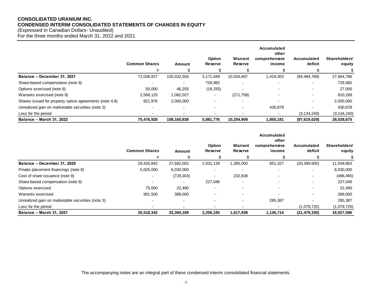## **CONSOLIDATED URANIUM INC. CONDENSED INTERIM CONSOLIDATED STATEMENTS OF CHANGES IN EQUITY**

(Expressed in Canadian Dollars- Unaudited)

For the three months ended March 31, 2022 and 2021

|                                                         |                          |                          |                          |                    | Accumulated<br>other    |                        |                         |
|---------------------------------------------------------|--------------------------|--------------------------|--------------------------|--------------------|-------------------------|------------------------|-------------------------|
|                                                         | <b>Common Shares</b>     | Amount                   | <b>Option</b><br>Reserve | Warrant<br>Reserve | comprehensive<br>income | Accumulated<br>deficit | Shareholders'<br>equity |
|                                                         | #                        |                          |                          |                    |                         | \$                     |                         |
| Balance - December 31, 2021                             | 72,036,827               | 105,032,556              | 5,171,049                | 10,526,667         | 1.419.303               | (94,484,789)           | 27,664,786              |
| Share-based compensation (note 8)                       | $\overline{\phantom{0}}$ | $\overline{\phantom{a}}$ | 729,982                  |                    |                         | $\overline{a}$         | 729,982                 |
| Options exercised (note 8)                              | 50,000                   | 46,255                   | (19, 255)                |                    |                         | $\overline{a}$         | 27,000                  |
| Warrants exercised (note 8)                             | 2,568,125                | 1,082,027                | $\,$ $\,$                | (271, 758)         |                         |                        | 810,269                 |
| Shares issued for property option agreements (note 4.8) | 821,976                  | 2,000,000                |                          |                    |                         |                        | 2,000,000               |
| Unrealized gain on marketable securities (note 3)       |                          |                          |                          |                    | 430.878                 |                        | 430.878                 |
| Loss for the period                                     |                          |                          |                          |                    |                         | (3, 134, 240)          | (3, 134, 240)           |
| <b>Balance - March 31, 2022</b>                         | 75,476,928               | 108,160,838              | 5,881,776                | 10,254,909         | 1,850,181               | (97,619,029)           | 28,528,675              |

|                                                   |                      |            |                          |                          | Accumulated<br>other     |                        |                         |
|---------------------------------------------------|----------------------|------------|--------------------------|--------------------------|--------------------------|------------------------|-------------------------|
|                                                   | <b>Common Shares</b> | Amount     | <b>Option</b><br>Reserve | Warrant<br>Reserve       | comprehensive<br>income  | Accumulated<br>deficit | Shareholders'<br>equity |
|                                                   | #                    |            |                          |                          |                          |                        |                         |
| Balance - December 31, 2020                       | 29,426,842           | 27,682,002 | 2,031,139                | 1,385,000                | 851,327                  | (20, 399, 605)         | 11,549,863              |
| Private placement financings (note 8)             | 5,025,000            | 6,030,000  |                          |                          | $\blacksquare$           |                        | 6,030,000               |
| Cost of share issuance (note 8)                   |                      | (729, 303) |                          | 232,838                  | $\overline{\phantom{0}}$ |                        | (496, 465)              |
| Share-based compensation (note 8)                 |                      |            | 227,046                  | $\overline{\phantom{a}}$ |                          |                        | 227,046                 |
| Options exercised                                 | 75,000               | 22,490     |                          |                          |                          |                        | 22,490                  |
| Warrants exercised                                | 991,500              | 389,000    |                          |                          |                          |                        | 389,000                 |
| Unrealized gain on marketable securities (note 3) |                      |            |                          |                          | 285,387                  |                        | 285,387                 |
| Loss for the period                               |                      |            |                          |                          | $\blacksquare$           | (1,079,725)            | (1,079,725)             |
| <b>Balance - March 31, 2021</b>                   | 35,518,342           | 33,394,189 | 2,258,185                | 1,617,838                | 1,136,714                | (21, 479, 330)         | 16,927,596              |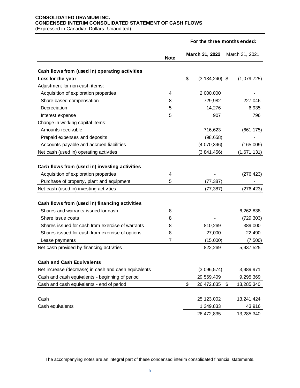## **CONSOLIDATED URANIUM INC. CONDENSED INTERIM CONSOLIDATED STATEMENT OF CASH FLOWS** (Expressed in Canadian Dollars- Unaudited)

|                                                                                                                                                                                 | For the three months ended: |    |                        |    |                          |
|---------------------------------------------------------------------------------------------------------------------------------------------------------------------------------|-----------------------------|----|------------------------|----|--------------------------|
|                                                                                                                                                                                 | <b>Note</b>                 |    | March 31, 2022         |    | March 31, 2021           |
| Cash flows from (used in) operating activities                                                                                                                                  |                             |    |                        |    |                          |
| Loss for the year                                                                                                                                                               |                             | \$ | $(3, 134, 240)$ \$     |    | (1,079,725)              |
| Adjustment for non-cash items:                                                                                                                                                  |                             |    |                        |    |                          |
| Acquisition of exploration properties                                                                                                                                           | 4                           |    | 2,000,000              |    |                          |
| Share-based compensation                                                                                                                                                        | 8                           |    | 729,982                |    | 227,046                  |
| Depreciation                                                                                                                                                                    | 5                           |    | 14,276                 |    | 6,935                    |
| Interest expense                                                                                                                                                                | 5                           |    | 907                    |    | 796                      |
| Change in working capital items:                                                                                                                                                |                             |    |                        |    |                          |
| Amounts receivable                                                                                                                                                              |                             |    | 716,623                |    | (661, 175)               |
| Prepaid expenses and deposits                                                                                                                                                   |                             |    | (98, 658)              |    |                          |
| Accounts payable and accrued liabilities                                                                                                                                        |                             |    | (4,070,346)            |    | (165,009)                |
| Net cash (used in) operating activities                                                                                                                                         |                             |    | (3,841,456)            |    | (1,671,131)              |
| Cash flows from (used in) investing activities<br>Acquisition of exploration properties<br>Purchase of property, plant and equipment<br>Net cash (used in) investing activities | 4<br>5                      |    | (77, 387)<br>(77, 387) |    | (276, 423)<br>(276, 423) |
| Cash flows from (used in) financing activities                                                                                                                                  |                             |    |                        |    |                          |
| Shares and warrants issued for cash                                                                                                                                             | 8                           |    |                        |    | 6,262,838                |
| Share issue costs                                                                                                                                                               | 8                           |    |                        |    | (729, 303)               |
| Shares issued for cash from exercise of warrants                                                                                                                                | 8                           |    | 810,269                |    | 389,000                  |
| Shares issued for cash from exercise of options                                                                                                                                 | 8                           |    | 27,000                 |    | 22,490                   |
| Lease payments                                                                                                                                                                  | 7                           |    | (15,000)               |    | (7,500)                  |
| Net cash provided by financing activities                                                                                                                                       |                             |    | 822,269                |    | 5,937,525                |
| <b>Cash and Cash Equivalents</b>                                                                                                                                                |                             |    |                        |    |                          |
| Net increase (decrease) in cash and cash equivalents                                                                                                                            |                             |    | (3,096,574)            |    | 3,989,971                |
| Cash and cash equivalents - beginning of period                                                                                                                                 |                             |    | 29,569,409             |    | 9,295,369                |
| Cash and cash equivalents - end of period                                                                                                                                       |                             | \$ | 26,472,835             | \$ | 13,285,340               |
| Cash                                                                                                                                                                            |                             |    | 25, 123, 002           |    | 13,241,424               |
| Cash equivalents                                                                                                                                                                |                             |    | 1,349,833              |    | 43,916                   |
|                                                                                                                                                                                 |                             |    | 26,472,835             |    | 13,285,340               |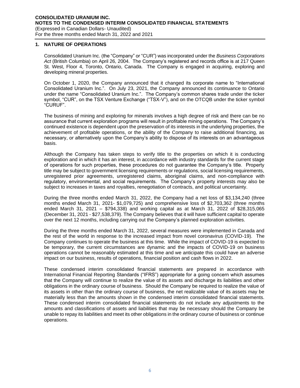## **1. NATURE OF OPERATIONS**

Consolidated Uranium Inc. (the "Company" or "CUR") was incorporated under the *Business Corporations Act* (British Columbia) on April 26, 2004. The Company's registered and records office is at 217 Queen St. West, Floor 4, Toronto, Ontario, Canada. The Company is engaged in acquiring, exploring and developing mineral properties.

On October 1, 2020, the Company announced that it changed its corporate name to "International Consolidated Uranium Inc.". On July 23, 2021, the Company announced its continuance to Ontario under the name "Consolidated Uranium Inc.". The Company's common shares trade under the ticker symbol, "CUR", on the TSX Venture Exchange ("TSX-V"), and on the OTCQB under the ticker symbol "CURUF".

The business of mining and exploring for minerals involves a high degree of risk and there can be no assurance that current exploration programs will result in profitable mining operations. The Company's continued existence is dependent upon the preservation of its interests in the underlying properties, the achievement of profitable operations, or the ability of the Company to raise additional financing, as necessary, or alternatively upon the Company's ability to dispose of its interests on an advantageous basis.

Although the Company has taken steps to verify title to the properties on which it is conducting exploration and in which it has an interest, in accordance with industry standards for the current stage of operations for such properties, these procedures do not guarantee the Company's title. Property title may be subject to government licensing requirements or regulations, social licensing requirements, unregistered prior agreements, unregistered claims, aboriginal claims, and non-compliance with regulatory, environmental, and social requirements. The Company's property interests may also be subject to increases in taxes and royalties, renegotiation of contracts, and political uncertainty.

During the three months ended March 31, 2022, the Company had a net loss of \$3,134,240 (three months ended March 31, 2021- \$1,079,725) and comprehensive loss of \$2,703,362 (three months ended March 31, 2021 – \$794,338) and working capital as at March 31, 2022 of \$28,315,065 (December 31, 2021 - \$27,538,379). The Company believes that it will have sufficient capital to operate over the next 12 months, including carrying out the Company's planned exploration activities.

During the three months ended March 31, 2022, several measures were implemented in Canada and the rest of the world in response to the increased impact from novel coronavirus (COVID-19). The Company continues to operate the business at this time. While the impact of COVID-19 is expected to be temporary, the current circumstances are dynamic and the impacts of COVID-19 on business operations cannot be reasonably estimated at this time and we anticipate this could have an adverse impact on our business, results of operations, financial position and cash flows in 2022.

These condensed interim consolidated financial statements are prepared in accordance with International Financial Reporting Standards ("IFRS") appropriate for a going concern which assumes that the Company will continue to realize the value of its assets and discharge its liabilities and other obligations in the ordinary course of business. Should the Company be required to realize the value of its assets in other than the ordinary course of business, the net realizable value of its assets may be materially less than the amounts shown in the condensed interim consolidated financial statements. These condensed interim consolidated financial statements do not include any adjustments to the amounts and classifications of assets and liabilities that may be necessary should the Company be unable to repay its liabilities and meet its other obligations in the ordinary course of business or continue operations.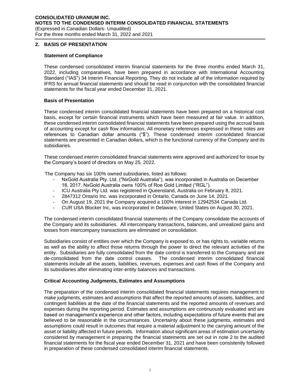## **2. BASIS OF PRESENTATION**

## **Statement of Compliance**

These condensed consolidated interim financial statements for the three months ended March 31, 2022, including comparatives, have been prepared in accordance with International Accounting Standard ("IAS") 34 Interim Financial Reporting. They do not include all of the information required by IFRS for annual financial statements and should be read in conjunction with the consolidated financial statements for the fiscal year ended December 31, 2021.

## **Basis of Presentation**

These condensed interim consolidated financial statements have been prepared on a historical cost basis, except for certain financial instruments which have been measured at fair value. In addition, these condensed interim consolidated financial statements have been prepared using the accrual basis of accounting except for cash flow information. All monetary references expressed in these notes are references to Canadian dollar amounts ("\$"). These condensed interim consolidated financial statements are presented in Canadian dollars, which is the functional currency of the Company and its subsidiaries.

These condensed interim consolidated financial statements were approved and authorized for issue by the Company's board of directors on May 25, 2022.

The Company has six 100% owned subsidiaries, listed as follows:

- NxGold Australia Pty. Ltd. ("NxGold Australia"), was incorporated in Australia on December 18, 2017. NxGold Australia owns 100% of Roe Gold Limited ("RGL").
- ICU Australia Pty Ltd. was registered in Queensland, Australia on February 8, 2021.
- 2847312 Ontario Inc. was incorporated in Ontario, Canada on June 14, 2021.
- On August 19, 2021 the Company acquired a 100% interest in 12942534 Canada Ltd.
- CUR USA Blocker Inc, was incorporated in Delaware, United States on August 30, 2021.

The condensed interim consolidated financial statements of the Company consolidate the accounts of the Company and its subsidiaries. All intercompany transactions, balances, and unrealized gains and losses from intercompany transactions are eliminated on consolidation.

Subsidiaries consist of entities over which the Company is exposed to, or has rights to, variable returns as well as the ability to affect those returns through the power to direct the relevant activities of the entity. Subsidiaries are fully consolidated from the date control is transferred to the Company and are de-consolidated from the date control ceases. The condensed interim consolidated financial statements include all the assets, liabilities, revenues, expenses and cash flows of the Company and its subsidiaries after eliminating inter-entity balances and transactions.

#### **Critical Accounting Judgments, Estimates and Assumptions**

The preparation of the condensed interim consolidated financial statements requires management to make judgments, estimates and assumptions that affect the reported amounts of assets, liabilities, and contingent liabilities at the date of the financial statements and the reported amounts of revenues and expenses during the reporting period. Estimates and assumptions are continuously evaluated and are based on management's experience and other factors, including expectations of future events that are believed to be reasonable in the circumstances. Uncertainty about these judgments, estimates and assumptions could result in outcomes that require a material adjustment to the carrying amount of the asset or liability affected in future periods. Information about significant areas of estimation uncertainty considered by management in preparing the financial statements are set out in note 2 to the audited financial statements for the fiscal year ended December 31, 2021 and have been consistently followed in preparation of these condensed consolidated interim financial statements.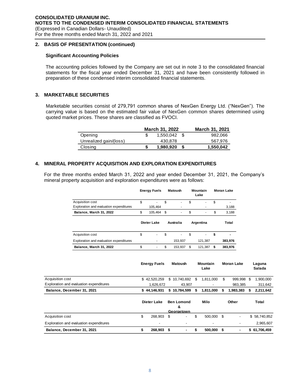## **2. BASIS OF PRESENTATION (continued)**

## **Significant Accounting Policies**

The accounting policies followed by the Company are set out in note 3 to the consolidated financial statements for the fiscal year ended December 31, 2021 and have been consistently followed in preparation of these condensed interim consolidated financial statements.

## **3. MARKETABLE SECURITIES**

Marketable securities consist of 279,791 common shares of NexGen Energy Ltd. ("NexGen"). The carrying value is based on the estimated fair value of NexGen common shares determined using quoted market prices. These shares are classified as FVOCI.

|                        |   | March 31, 2022 | March 31, 2021 |           |
|------------------------|---|----------------|----------------|-----------|
| Opening                |   | 1,550,042      |                | 982,066   |
| Unrealized gain/(loss) |   | 430.878        |                | 567.976   |
| Closing                | S | 1,980,920      |                | 1,550,042 |

## **4. MINERAL PROPERTY ACQUISITION AND EXPLORATION EXPENDITURES**

For the three months ended March 31, 2022 and year ended December 31, 2021, the Company's mineral property acquisition and exploration expenditures were as follows:

|                                         | <b>Energy Fuels</b> |      | Matoush          |    | Mountain<br>Lake | <b>Moran Lake</b> |
|-----------------------------------------|---------------------|------|------------------|----|------------------|-------------------|
| Acquisition cost                        | \$                  | \$   | ۰                | \$ |                  | \$                |
| Exploration and evaluation expenditures | 105.464             |      |                  |    |                  | 3,188             |
| Balance, March 31, 2022                 | \$<br>105.464       | - \$ | ٠                | \$ | ۰                | \$<br>3,188       |
|                                         | Dieter Lake         |      | <b>Australia</b> |    | Argentina        | Total             |
| Acquisition cost                        | \$<br>٠             | \$   | ٠                | \$ | ٠                | \$                |
| Exploration and evaluation expenditures |                     |      | 153.937          |    | 121.387          | 383.976           |
| Balance, March 31, 2022                 | \$<br>۰             | \$   | 153.937          | S  | 121.387          | \$<br>383.976     |

| <b>Energy Fuels</b><br><b>Matoush</b>   |             |              | Mountain<br>Lake       |        |                 | <b>Moran Lake</b> | Laguna<br>Salada |           |       |              |
|-----------------------------------------|-------------|--------------|------------------------|--------|-----------------|-------------------|------------------|-----------|-------|--------------|
| Acquisition cost                        |             | \$42,520,259 | \$10,740,692           |        | 1.811.000<br>\$ |                   | \$               | 999.998   | S     | 1,900,000    |
| Exploration and evaluation expenditures |             | 1,626,672    |                        | 43.907 |                 |                   |                  | 983.385   |       | 311,642      |
| Balance, December 31, 2021              |             | \$44.146.931 | \$10.784.599           |        | 1,811,000<br>\$ |                   | S                | 1.983.383 | S     | 2,211,642    |
|                                         | Dieter Lake |              | <b>Ben Lomond</b><br>& |        | Milo            |                   | Other            |           | Total |              |
|                                         |             |              | Georgetown             |        |                 |                   |                  |           |       |              |
| Acquisition cost                        | \$          | 268,903      | - \$                   | ٠      | \$              | 500,000 \$        |                  | -         |       | \$58,740,852 |
| Exploration and evaluation expenditures |             | ٠            |                        | ٠      |                 | -                 |                  |           |       | 2,965,607    |
| Balance, December 31, 2021              | \$          | 268.903      | -\$                    | ۰      | \$              | 500,000 \$        |                  | ٠         |       | \$61,706,459 |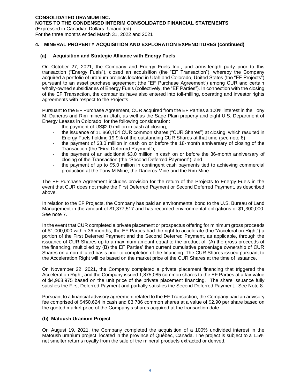## **(a) Acquisition and Strategic Alliance with Energy Fuels**

On October 27, 2021, the Company and Energy Fuels Inc., and arms-length party prior to this transaction ("Energy Fuels"), closed an acquisition (the "EF Transaction"), whereby the Company acquired a portfolio of uranium projects located in Utah and Colorado, United States (the "EF Projects") pursuant to an asset purchase agreement (the "EF Purchase Agreement") among CUR and certain wholly-owned subsidiaries of Energy Fuels (collectively, the "EF Parties"). In connection with the closing of the EF Transaction, the companies have also entered into toll-milling, operating and investor rights agreements with respect to the Projects.

Pursuant to the EF Purchase Agreement, CUR acquired from the EF Parties a 100% interest in the Tony M, Daneros and Rim mines in Utah, as well as the Sage Plain property and eight U.S. Department of Energy Leases in Colorado, for the following consideration:

- the payment of US\$2.0 million in cash at closing;
- the issuance of 11,860,101 CUR common shares ("CUR Shares") at closing, which resulted in Energy Fuels holding 19.9% of the outstanding CUR Shares at that time (see note 8);
- the payment of \$3.0 million in cash on or before the 18-month anniversary of closing of the Transaction (the "First Deferred Payment");
- the payment of an additional \$3.0 million in cash on or before the 36-month anniversary of closing of the Transaction (the "Second Deferred Payment"); and
- the payment of up to \$5.0 million in contingent cash payments tied to achieving commercial production at the Tony M Mine, the Daneros Mine and the Rim Mine.

The EF Purchase Agreement includes provision for the return of the Projects to Energy Fuels in the event that CUR does not make the First Deferred Payment or Second Deferred Payment, as described above.

In relation to the EF Projects, the Company has paid an environmental bond to the U.S. Bureau of Land Management in the amount of \$1,377,517 and has recorded environmental obligations of \$1,300,000. See note 7.

In the event that CUR completed a private placement or prospectus offering for minimum gross proceeds of \$1,000,000 within 36 months, the EF Parties had the right to accelerate (the "Acceleration Right") a portion of the First Deferred Payment and the Second Deferred Payment, as applicable, through the issuance of CUR Shares up to a maximum amount equal to the product of: (A) the gross proceeds of the financing, multiplied by (B) the EF Parties' then current cumulative percentage ownership of CUR Shares on a non-diluted basis prior to completion of the financing. The CUR Shares issued pursuant to the Acceleration Right will be based on the market price of the CUR Shares at the time of issuance.

On November 22, 2021, the Company completed a private placement financing that triggered the Acceleration Right, and the Company issued 1,875,085 common shares to the EF Parties at a fair value of \$4,968,975 based on the unit price of the private placement financing. The share issuance fully satisfies the First Deferred Payment and partially satisfies the Second Deferred Payment. See Note 8.

Pursuant to a financial advisory agreement related to the EF Transaction, the Company paid an advisory fee comprised of \$450,624 in cash and 83,786 common shares at a value of \$2.90 per share based on the quoted market price of the Company's shares acquired at the transaction date.

## **(b) Matoush Uranium Project**

On August 19, 2021, the Company completed the acquisition of a 100% undivided interest in the Matoush uranium project, located in the province of Québec, Canada. The project is subject to a 1.5% net smelter returns royalty from the sale of the mineral products extracted or derived.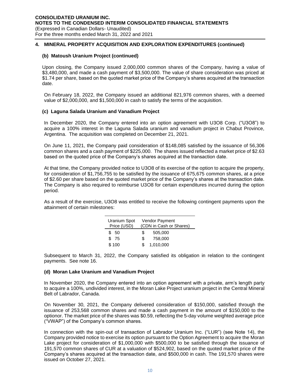## **(b) Matoush Uranium Project (continued)**

Upon closing, the Company issued 2,000,000 common shares of the Company, having a value of \$3,480,000, and made a cash payment of \$3,500,000. The value of share consideration was priced at \$1.74 per share, based on the quoted market price of the Company's shares acquired at the transaction date.

On February 18, 2022, the Company issued an additional 821,976 common shares, with a deemed value of \$2,000,000, and \$1,500,000 in cash to satisfy the terms of the acquisition.

## **(c) Laguna Salada Uranium and Vanadium Project**

In December 2020, the Company entered into an option agreement with U3O8 Corp. ("U3O8") to acquire a 100% interest in the Laguna Salada uranium and vanadium project in Chabut Province, Argentina. The acquisition was completed on December 21, 2021.

On June 11, 2021, the Company paid consideration of \$148,085 satisfied by the issuance of 56,306 common shares and a cash payment of \$225,000. The shares issued reflected a market price of \$2.63 based on the quoted price of the Company's shares acquired at the transaction date.

At that time, the Company provided notice to U3O8 of its exercise of the option to acquire the property, for consideration of \$1,756,755 to be satisfied by the issuance of 675,675 common shares, at a price of \$2.60 per share based on the quoted market price of the Company's shares at the transaction date. The Company is also required to reimburse U3O8 for certain expenditures incurred during the option period.

As a result of the exercise, U3O8 was entitled to receive the following contingent payments upon the attainment of certain milestones:

| Uranium Spot<br>Price (USD) | Vendor Payment<br>(CDN in Cash or Shares) |           |  |  |  |  |
|-----------------------------|-------------------------------------------|-----------|--|--|--|--|
| \$ 50                       | S                                         | 505,000   |  |  |  |  |
| \$75                        | S.                                        | 758,000   |  |  |  |  |
| \$100                       |                                           | 1,010,000 |  |  |  |  |

Subsequent to March 31, 2022, the Company satisfied its obligation in relation to the contingent payments. See note 16.

## **(d) Moran Lake Uranium and Vanadium Project**

In November 2020, the Company entered into an option agreement with a private, arm's length party to acquire a 100%, undivided interest, in the Moran Lake Project uranium project in the Central Mineral Belt of Labrador, Canada.

On November 30, 2021, the Company delivered consideration of \$150,000, satisfied through the issuance of 253,568 common shares and made a cash payment in the amount of \$150,000 to the optionor. The market price of the shares was \$0.59, reflecting the 5-day volume weighted average price ("VWAP") of the Company's common shares.

In connection with the spin-out of transaction of Labrador Uranium Inc. ("LUR") (see Note 14), the Company provided notice to exercise its option pursuant to the Option Agreement to acquire the Moran Lake project for consideration of \$1,000,000 with \$500,000 to be satisfied through the issuance of 191,570 common shares of CUR at a valuation of \$524,902, based on the quoted market price of the Company's shares acquired at the transaction date, and \$500,000 in cash. The 191,570 shares were issued on October 27, 2021.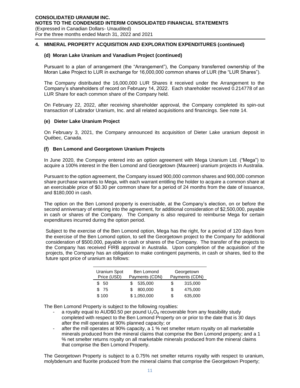## **(d) Moran Lake Uranium and Vanadium Project (continued)**

Pursuant to a plan of arrangement (the "Arrangement"), the Company transferred ownership of the Moran Lake Project to LUR in exchange for 16,000,000 common shares of LUR (the "LUR Shares").

The Company distributed the 16,000,000 LUR Shares it received under the Arrangement to the Company's shareholders of record on February 14, 2022. Each shareholder received 0.214778 of an LUR Share for each common share of the Company held.

On February 22, 2022, after receiving shareholder approval, the Company completed its spin-out transaction of Labrador Uranium, Inc. and all related acquisitions and financings. See note 14.

## **(e) Dieter Lake Uranium Project**

On February 3, 2021, the Company announced its acquisition of Dieter Lake uranium deposit in Québec, Canada.

## **(f) Ben Lomond and Georgetown Uranium Projects**

In June 2020, the Company entered into an option agreement with Mega Uranium Ltd. ("Mega") to acquire a 100% interest in the Ben Lomond and Georgetown (Maureen) uranium projects in Australia.

Pursuant to the option agreement, the Company issued 900,000 common shares and 900,000 common share purchase warrants to Mega, with each warrant entitling the holder to acquire a common share at an exercisable price of \$0.30 per common share for a period of 24 months from the date of issuance, and \$180,000 in cash.

The option on the Ben Lomond property is exercisable, at the Company's election, on or before the second anniversary of entering into the agreement, for additional consideration of \$2,500,000, payable in cash or shares of the Company. The Company is also required to reimburse Mega for certain expenditures incurred during the option period.

Subject to the exercise of the Ben Lomond option, Mega has the right, for a period of 120 days from the exercise of the Ben Lomond option, to sell the Georgetown project to the Company for additional consideration of \$500,000, payable in cash or shares of the Company. The transfer of the projects to the Company has received FIRB approval in Australia. Upon completion of the acquisition of the projects, the Company has an obligation to make contingent payments, in cash or shares, tied to the future spot price of uranium as follows:

| Uranium Spot<br>Price (USD) | Ben Lomond<br>Payments (CDN) |    | Georgetown<br>Payments (CDN) |
|-----------------------------|------------------------------|----|------------------------------|
| \$ 50                       | 535.000                      | S  | 315,000                      |
| \$75                        | 800,000                      | \$ | 475,000                      |
| \$100                       | \$1,050,000                  | S  | 635,000                      |

The Ben Lomond Property is subject to the following royalties:

- a royalty equal to AUD\$0.50 per pound  $U_3O_8$  recoverable from any feasibility study completed with respect to the Ben Lomond Property on or prior to the date that is 30 days after the mill operates at 90% planned capacity; or
- after the mill operates at 90% capacity, a 1 % net smelter return royalty on all marketable minerals produced from the mineral claims that comprise the Ben Lomond property; and a 1 % net smelter returns royalty on all marketable minerals produced from the mineral claims that comprise the Ben Lomond Property.

The Georgetown Property is subject to a 0.75% net smelter returns royalty with respect to uranium, molybdenum and fluorite produced from the mineral claims that comprise the Georgetown Property;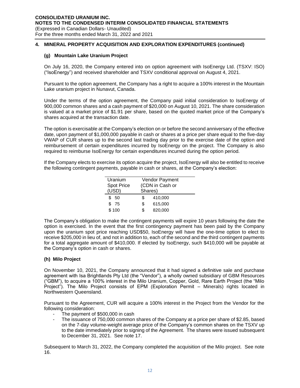## **(g) Mountain Lake Uranium Project**

On July 16, 2020, the Company entered into on option agreement with IsoEnergy Ltd. (TSXV: ISO) ("IsoEnergy") and received shareholder and TSXV conditional approval on August 4, 2021.

Pursuant to the option agreement, the Company has a right to acquire a 100% interest in the Mountain Lake uranium project in Nunavut, Canada.

Under the terms of the option agreement, the Company paid initial consideration to IsoEnergy of 900,000 common shares and a cash payment of \$20,000 on August 10, 2021. The share consideration is valued at a market price of \$1.91 per share, based on the quoted market price of the Company's shares acquired at the transaction date.

The option is exercisable at the Company's election on or before the second anniversary of the effective date, upon payment of \$1,000,000 payable in cash or shares at a price per share equal to the five-day VWAP of CUR shares up to the second last trading day prior to the exercise date of the option and reimbursement of certain expenditures incurred by IsoEnergy on the project. The Company is also required to reimburse IsoEnergy for certain expenditures incurred during the option period.

If the Company elects to exercise its option acquire the project, IsoEnergy will also be entitled to receive the following contingent payments, payable in cash or shares, at the Company's election:

| Uranium           | Vendor Payment  |         |  |  |  |  |
|-------------------|-----------------|---------|--|--|--|--|
| <b>Spot Price</b> | (CDN in Cash or |         |  |  |  |  |
| (USD)             |                 | Shares) |  |  |  |  |
| \$<br>50          | \$              | 410,000 |  |  |  |  |
| 75<br>\$          | \$              | 615,000 |  |  |  |  |
| \$100             | \$              | 820.000 |  |  |  |  |
|                   |                 |         |  |  |  |  |

The Company's obligation to make the contingent payments will expire 10 years following the date the option is exercised. In the event that the first contingency payment has been paid by the Company upon the uranium spot price reaching USD\$50, IsoEnergy will have the one-time option to elect to receive \$205,000 in lieu of, and not in addition to, each of the second and the third contingent payments for a total aggregate amount of \$410,000. If elected by IsoEnergy, such \$410,000 will be payable at the Company's option in cash or shares.

## **(h) Milo Project**

On November 10, 2021, the Company announced that it had signed a definitive sale and purchase agreement with Isa Brightlands Pty Ltd (the "Vendor"), a wholly owned subsidiary of GBM Resources ("GBM"), to acquire a 100% interest in the Milo Uranium, Copper, Gold, Rare Earth Project (the "Milo Project"). The Milo Project consists of EPM (Exploration Permit – Minerals) rights located in Northwestern Queensland.

Pursuant to the Agreement, CUR will acquire a 100% interest in the Project from the Vendor for the following consideration:

- The payment of \$500,000 in cash
- The issuance of 750,000 common shares of the Company at a price per share of \$2.85, based on the 7-day volume-weight average price of the Company's common shares on the TSXV up to the date immediately prior to signing of the Agreement. The shares were issued subsequent to December 31, 2021. See note 17.

Subsequent to March 31, 2022, the Company completed the acquisition of the Milo project. See note 16.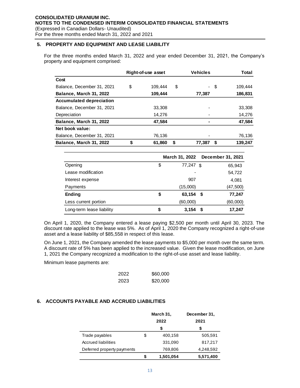## **5. PROPERTY AND EQUIPMENT AND LEASE LIABILITY**

For the three months ended March 31, 2022 and year ended December 31, 2021, the Company's property and equipment comprised:

|                                 | Right-of-use asset | <b>Vehicles</b> |      | Total   |
|---------------------------------|--------------------|-----------------|------|---------|
| Cost                            |                    |                 |      |         |
| Balance, December 31, 2021      | \$<br>109.444      | \$              | - \$ | 109.444 |
| Balance, March 31, 2022         | 109,444            | 77,387          |      | 186,831 |
| <b>Accumulated depreciation</b> |                    |                 |      |         |
| Balance, December 31, 2021      | 33.308             |                 |      | 33,308  |
| Depreciation                    | 14.276             |                 |      | 14,276  |
| Balance, March 31, 2022         | 47,584             |                 |      | 47,584  |
| Net book value:                 |                    |                 |      |         |
| Balance, December 31, 2021      | 76,136             |                 |      | 76,136  |
| Balance, March 31, 2022         | \$<br>61,860       | \$<br>77,387    | \$   | 139,247 |

|                           | March 31, 2022  | December 31, 2021 |  |
|---------------------------|-----------------|-------------------|--|
| Opening                   | \$<br>77,247 \$ | 65,943            |  |
| Lease modification        |                 | 54,722            |  |
| Interest expense          | 907             | 4,081             |  |
| Payments                  | (15,000)        | (47, 500)         |  |
| <b>Ending</b>             | \$<br>63,154    | 77,247<br>- \$    |  |
| Less current portion      | (60,000)        | (60,000)          |  |
| Long-term lease liability | \$<br>3,154     | 17,247<br>- \$    |  |

On April 1, 2020, the Company entered a lease paying \$2,500 per month until April 30, 2023. The discount rate applied to the lease was 5%. As of April 1, 2020 the Company recognized a right-of-use asset and a lease liability of \$85,558 in respect of this lease.

On June 1, 2021, the Company amended the lease payments to \$5,000 per month over the same term. A discount rate of 5% has been applied to the increased value. Given the lease modification, on June 1, 2021 the Company recognized a modification to the right-of-use asset and lease liability.

Minimum lease payments are:

| 2022 | \$60,000 |
|------|----------|
| 2023 | \$20,000 |

## **6. ACCOUNTS PAYABLE AND ACCRUED LIABILITIES**

|                            | March 31,       | December 31, |
|----------------------------|-----------------|--------------|
|                            | 2022            | 2021         |
|                            | \$              | S            |
| Trade payables             | \$<br>400,158   | 505,591      |
| <b>Accrued liabilities</b> | 331,090         | 817,217      |
| Deferred property payments | 769,806         | 4,248,592    |
|                            | \$<br>1,501,054 | 5,571,400    |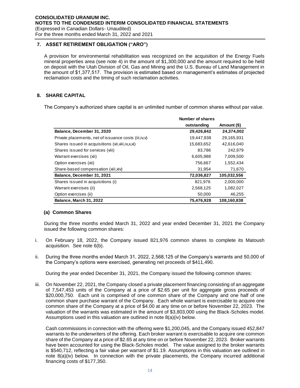**7. ASSET RETIREMENT OBLIGATION ("ARO")**

A provision for environmental rehabilitation was recognized on the acquisition of the Energy Fuels mineral properties area (see note 4) in the amount of \$1,300,000 and the amount required to be held on deposit with the Utah Division of Oil, Gas and Mining and the U.S. Bureau of Land Management in the amount of \$1,377,517. The provision is estimated based on management's estimates of projected reclamation costs and the timing of such reclamation activities.

## **8. SHARE CAPITAL**

The Company's authorized share capital is an unlimited number of common shares without par value.

|                                                        | Number of shares |             |
|--------------------------------------------------------|------------------|-------------|
|                                                        | outstanding      | Amount (\$) |
| Balance, December 31, 2020                             | 29,426,842       | 24,374,002  |
| Private placements, net of issuance costs (iii, iv, v) | 19.447.938       | 29,165,931  |
| Shares issued in acquisitions (vii, viii, ix, x, xi)   | 15,683,652       | 42,616,040  |
| Shares issued for services (viii)                      | 83,786           | 242,979     |
| Warrant exercises (xii)                                | 6,605,988        | 7,009,500   |
| Option exercises (xii)                                 | 756,667          | 1,552,434   |
| Share-based compensation (xiii, xiv)                   | 31,954           | 71,670      |
| Balance, December 31, 2021                             | 72,036,827       | 105,032,556 |
| Shares issued in acquisitions (i)                      | 821,976          | 2,000,000   |
| Warrant exercises (ii)                                 | 2,568,125        | 1,082,027   |
| Option exercises (ii)                                  | 50,000           | 46,255      |
| <b>Balance, March 31, 2022</b>                         | 75,476,928       | 108,160,838 |

## **(a) Common Shares**

During the three months ended March 31, 2022 and year ended December 31, 2021 the Company issued the following common shares:

- i. On February 18, 2022, the Company issued 821,976 common shares to complete its Matoush acquisition. See note 6(b).
- ii. During the three months ended March 31, 2022, 2,568,125 of the Company's warrants and 50,000 of the Company's options were exercised, generating net proceeds of \$411,490.

During the year ended December 31, 2021, the Company issued the following common shares:

iii. On November 22, 2021, the Company closed a private placement financing consisting of an aggregate of 7,547,453 units of the Company at a price of \$2.65 per unit for aggregate gross proceeds of \$20,000,750. Each unit is comprised of one common share of the Company and one half of one common share purchase warrant of the Company. Each whole warrant is exercisable to acquire one common share of the Company at a price of \$4.00 at any time on or before November 22, 2023. The valuation of the warrants was estimated in the amount of \$3,803,000 using the Black-Scholes model. Assumptions used in this valuation are outlined in note 8(a)(iv) below.

Cash commissions in connection with the offering were \$1,200,045, and the Company issued 452,847 warrants to the underwriters of the offering. Each broker warrant is exercisable to acquire one common share of the Company at a price of \$2.65 at any time on or before November 22, 2023. Broker warrants have been accounted for using the Black-Scholes model. The value assigned to the broker warrants is \$540,712, reflecting a fair value per warrant of \$1.19. Assumptions in this valuation are outlined in note 8(a)(iv) below. In connection with the private placements, the Company incurred additional financing costs of \$177,350.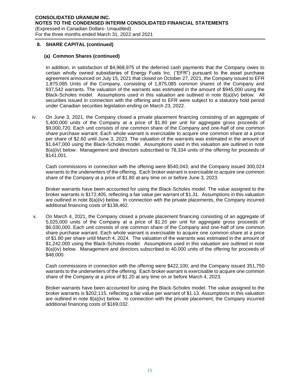## **(a) Common Shares (continued)**

In addition, in satisfaction of \$4,968,975 of the deferred cash payments that the Company owes to certain wholly owned subsidiaries of Energy Fuels Inc. ("EFR") pursuant to the asset purchase agreement announced on July 15, 2021 that closed on October 27, 2021, the Company issued to EFR 1,875,085 Units of the Company, consisting of 1,875,085 common shares of the Company and 937,542 warrants. The valuation of the warrants was estimated in the amount of \$945,000 using the Black-Scholes model. Assumptions used in this valuation are outlined in note 8(a)(iv) below. All securities issued in connection with the offering and to EFR were subject to a statutory hold period under Canadian securities legislation ending on March 23, 2022.

iv. On June 3, 2021, the Company closed a private placement financing consisting of an aggregate of 5,400,000 units of the Company at a price of \$1.80 per unit for aggregate gross proceeds of \$9,000,720. Each unit consists of one common share of the Company and one-half of one common share purchase warrant. Each whole warrant is exercisable to acquire one common share at a price per share of \$2.60 until June 3, 2023. The valuation of the warrants was estimated in the amount of \$1,647,000 using the Black-Scholes model. Assumptions used in this valuation are outlined in note 8(a)(iv) below. Management and directors subscribed to 78,334 units of the offering for proceeds of \$141,001.

Cash commissions in connection with the offering were \$540,043, and the Company issued 300,024 warrants to the underwriters of the offering. Each broker warrant is exercisable to acquire one common share of the Company at a price of \$1.80 at any time on or before June 3, 2023.

Broker warrants have been accounted for using the Black-Scholes model. The value assigned to the broker warrants is \$172,405, reflecting a fair value per warrant of \$1.31. Assumptions in this valuation are outlined in note 8(a)(iv) below. In connection with the private placements, the Company incurred additional financing costs of \$138,462.

v. On March 4, 2021, the Company closed a private placement financing consisting of an aggregate of 5,025,000 units of the Company at a price of \$1.20 per unit for aggregate gross proceeds of \$6,030,000. Each unit consists of one common share of the Company and one-half of one common share purchase warrant. Each whole warrant is exercisable to acquire one common share at a price of \$1.80 per share until March 4, 2024. The valuation of the warrants was estimated in the amount of \$1,242,000 using the Black-Scholes model. Assumptions used in this valuation are outlined in note 8(a)(iv) below. Management and directors subscribed to 40,000 units of the offering for proceeds of \$48,000.

Cash commissions in connection with the offering were \$422,100, and the Company issued 351,750 warrants to the underwriters of the offering. Each broker warrant is exercisable to acquire one common share of the Company at a price of \$1.20 at any time on or before March 4, 2023.

Broker warrants have been accounted for using the Black-Scholes model. The value assigned to the broker warrants is \$202,115, reflecting a fair value per warrant of \$1.13. Assumptions in this valuation are outlined in note 8(a)(iv) below. In connection with the private placement, the Company incurred additional financing costs of \$169,032.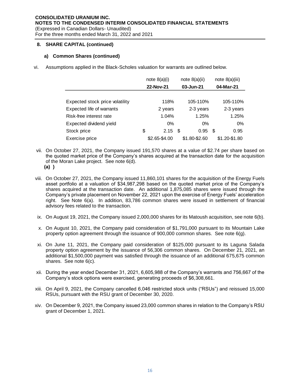## **a) Common Shares (continued)**

vi. Assumptions applied in the Black-Scholes valuation for warrants are outlined below.

|                                 | note $8(a)(i)$<br>22-Nov-21 |     | note $8(a)(ii)$<br>03-Jun-21 |   | note $8(a)(iii)$<br>04-Mar-21 |
|---------------------------------|-----------------------------|-----|------------------------------|---|-------------------------------|
|                                 |                             |     |                              |   |                               |
| Expected stock price volatility | 118%                        |     | 105-110%                     |   | 105-110%                      |
| Expected life of warrants       | 2 years                     |     | 2-3 years                    |   | 2-3 years                     |
| Risk-free interest rate         | 1.04%                       |     | 1.25%                        |   | 1.25%                         |
| Expected dividend yield         | $0\%$                       |     | $0\%$                        |   | 0%                            |
| Stock price                     | \$<br>2.15                  | \$. | 0.95                         | S | 0.95                          |
| Exercise price                  | \$2.65-\$4.00               |     | \$1.80-\$2.60                |   | \$1.20-\$1.80                 |

- vii. On October 27, 2021, the Company issued 191,570 shares at a value of \$2.74 per share based on the quoted market price of the Company's shares acquired at the transaction date for the acquisition of the Moran Lake project. See note 6(d). **(a) )**
- viii. On October 27, 2021, the Company issued 11,860,101 shares for the acquisition of the Energy Fuels asset portfolio at a valuation of \$34,987,298 based on the quoted market price of the Company's shares acquired at the transaction date. An additional 1,875,085 shares were issued through the Company's private placement on November 22, 2021 upon the exercise of Energy Fuels' acceleration right. See Note 6(a). In addition, 83,786 common shares were issued in settlement of financial advisory fees related to the transaction.
- ix. On August 19, 2021, the Company issued 2,000,000 shares for its Matoush acquisition, see note 6(b).
- x. On August 10, 2021, the Company paid consideration of \$1,791,000 pursuant to its Mountain Lake property option agreement through the issuance of 900,000 common shares. See note 6(g).
- xi. On June 11, 2021, the Company paid consideration of \$125,000 pursuant to its Laguna Salada property option agreement by the issuance of 56,306 common shares. On December 21, 2021, an additional \$1,500,000 payment was satisfied through the issuance of an additional 675,675 common shares. See note 6(c).
- xii. During the year ended December 31, 2021, 6,605,988 of the Company's warrants and 756,667 of the Company's stock options were exercised, generating proceeds of \$6,308,661.
- xiii. On April 9, 2021, the Company cancelled 6,046 restricted stock units ("RSUs") and reissued 15,000 RSUs, pursuant with the RSU grant of December 30, 2020.
- xiv. On December 9, 2021, the Company issued 23,000 common shares in relation to the Company's RSU grant of December 1, 2021.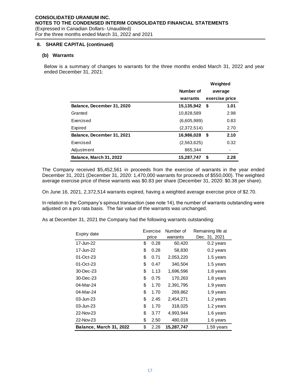## **(b) Warrants**

Below is a summary of changes to warrants for the three months ended March 31, 2022 and year ended December 31, 2021:

|                                |             | Weighted       |      |
|--------------------------------|-------------|----------------|------|
|                                | Number of   | average        |      |
|                                | warrants    | exercise price |      |
| Balance, December 31, 2020     | 15,135,942  | - \$           | 1.01 |
| Granted                        | 10,828,589  |                | 2.98 |
| Exercised                      | (6,605,989) |                | 0.83 |
| Expired                        | (2,372,514) |                | 2.70 |
| Balance, December 31, 2021     | 16,986,028  | - \$           | 2.10 |
| Exercised                      | (2,563,625) |                | 0.32 |
| Adjustment                     | 865.344     |                |      |
| <b>Balance, March 31, 2022</b> | 15.287.747  | - \$           | 2.28 |

The Company received \$5,452,561 in proceeds from the exercise of warrants in the year ended December 31, 2021 (December 31, 2020: 1,470,000 warrants for proceeds of \$550,000). The weighted average exercise price of these warrants was \$0.83 per share (December 31, 2020: \$0.38 per share).

On June 16, 2021, 2,372,514 warrants expired, having a weighted average exercise price of \$2.70.

In relation to the Company's spinout transaction (see note 14), the number of warrants outstanding were adjusted on a pro rata basis. The fair value of the warrants was unchanged.

As at December 31, 2021 the Company had the following warrants outstanding:

| Expiry date             |    | Exercise | Number of  | Remaining life at |  |  |
|-------------------------|----|----------|------------|-------------------|--|--|
|                         |    | price    | warrants   | Dec. 31, 2021     |  |  |
| 17-Jun-22               | \$ | 0.28     | 60,420     | $0.2$ years       |  |  |
| 17-Jun-22               | \$ | 0.28     | 58,830     | 0.2 years         |  |  |
| 01-Oct-23               | \$ | 0.71     | 2,053,220  | 1.5 years         |  |  |
| 01-Oct-23               | \$ | 0.47     | 340,504    | 1.5 years         |  |  |
| 30-Dec-23               | \$ | 1.13     | 1,696,596  | 1.8 years         |  |  |
| 30-Dec-23               | \$ | 0.75     | 170,263    | 1.8 years         |  |  |
| 04-Mar-24               | \$ | 1.70     | 2,391,795  | 1.9 years         |  |  |
| 04-Mar-24               | \$ | 1.70     | 269,862    | 1.9 years         |  |  |
| 03-Jun-23               | \$ | 2.45     | 2,454,271  | 1.2 years         |  |  |
| 03-Jun-23               | \$ | 1.70     | 318,025    | 1.2 years         |  |  |
| 22-Nov-23               | \$ | 3.77     | 4,993,944  | 1.6 years         |  |  |
| 22-Nov-23               | \$ | 2.50     | 480,018    | 1.6 years         |  |  |
| Balance, March 31, 2022 | \$ | 2.28     | 15,287,747 | 1.59 years        |  |  |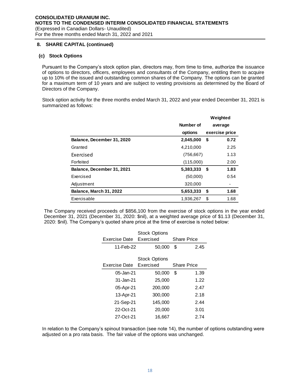## **(c) Stock Options**

Pursuant to the Company's stock option plan, directors may, from time to time, authorize the issuance of options to directors, officers, employees and consultants of the Company, entitling them to acquire up to 10% of the issued and outstanding common shares of the Company. The options can be granted for a maximum term of 10 years and are subject to vesting provisions as determined by the Board of Directors of the Company.

Stock option activity for the three months ended March 31, 2022 and year ended December 31, 2021 is summarized as follows:

|                                |            | Weighted       |                          |
|--------------------------------|------------|----------------|--------------------------|
|                                | Number of  | average        |                          |
|                                | options    | exercise price |                          |
| Balance, December 31, 2020     | 2,045,000  | \$             | 0.72                     |
| Granted                        | 4,210,000  |                | 2.25                     |
| Exercised                      | (756, 667) |                | 1.13                     |
| Forfeited                      | (115,000)  |                | 2.00                     |
| Balance, December 31, 2021     | 5,383,333  | - \$           | 1.83                     |
| Exercised                      | (50,000)   |                | 0.54                     |
| Adjustment                     | 320,000    |                | $\overline{\phantom{a}}$ |
| <b>Balance, March 31, 2022</b> | 5,653,333  | \$             | 1.68                     |
| Exercisable                    | 1,936,267  | \$             | 1.68                     |

The Company received proceeds of \$856,100 from the exercise of stock options in the year ended December 31, 2021 (December 31, 2020: \$nil), at a weighted average price of \$1.13 (December 31, 2020: \$nil). The Company's quoted share price at the time of exercise is noted below:

|                         | <b>Stock Options</b> |                    |      |  |  |
|-------------------------|----------------------|--------------------|------|--|--|
| Exercise Date Exercised |                      | <b>Share Price</b> |      |  |  |
| 11-Feb-22               | 50,000               | \$                 | 2.45 |  |  |
|                         | <b>Stock Options</b> |                    |      |  |  |
| Exercise Date Exercised |                      | <b>Share Price</b> |      |  |  |
| 05-Jan-21               | 50,000               | \$                 | 1.39 |  |  |
| 31-Jan-21               | 25,000               |                    | 1.22 |  |  |
| 05-Apr-21               | 200,000              |                    | 2.47 |  |  |
| 13-Apr-21               | 300,000              |                    | 2.18 |  |  |
| 21-Sep-21               | 145,000              |                    | 2.44 |  |  |
| 22-Oct-21               | 20,000               |                    | 3.01 |  |  |
| 27-Oct-21               | 16,667               |                    | 2.74 |  |  |

In relation to the Company's spinout transaction (see note 14), the number of options outstanding were adjusted on a pro rata basis. The fair value of the options was unchanged.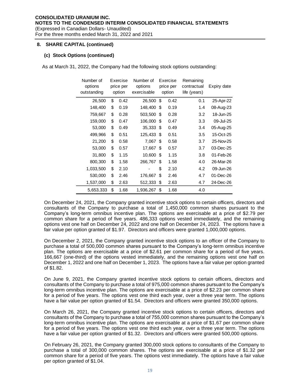## **(c) Stock Options (continued)**

As at March 31, 2022, the Company had the following stock options outstanding:

| Number of<br>options<br>outstanding | Exercise<br>price per<br>option |      | Number of<br>options<br>exercisable | Exercise<br>price per<br>option |      | Remaining<br>contractual<br>life (years) | Expiry date |
|-------------------------------------|---------------------------------|------|-------------------------------------|---------------------------------|------|------------------------------------------|-------------|
| 26,500                              | \$                              | 0.42 | 26,500                              | \$                              | 0.42 | 0.1                                      | 25-Apr-22   |
| 148,400                             | \$                              | 0.19 | 148,400                             | \$                              | 0.19 | 1.4                                      | 08-Aug-23   |
| 759,667                             | \$                              | 0.28 | 503,500                             | \$                              | 0.28 | 3.2                                      | 18-Jun-25   |
| 159,000                             | \$                              | 0.47 | 106,000                             | \$.                             | 0.47 | 3.3                                      | 09-Jul-25   |
| 53,000                              | \$                              | 0.49 | 35,333                              | - \$                            | 0.49 | 3.4                                      | 05-Aug-25   |
| 499,966                             | \$                              | 0.51 | 125,433                             | \$                              | 0.51 | 3.5                                      | 15-Oct-25   |
| 21,200                              | \$                              | 0.58 | 7,067                               | \$                              | 0.58 | 3.7                                      | 25-Nov-25   |
| 53,000                              | \$                              | 0.57 | 17,667                              | \$                              | 0.57 | 3.7                                      | 03-Dec-25   |
| 31,800                              | \$                              | 1.15 | 10,600                              | \$                              | 1.15 | 3.8                                      | 01-Feb-26   |
| 800,300                             | \$                              | 1.58 | 266,767                             | S                               | 1.58 | 4.0                                      | 26-Mar-26   |
| 1,033,500                           | \$                              | 2.10 |                                     | \$                              | 2.10 | 4.2                                      | 09-Jun-26   |
| 530,000                             | \$                              | 2.46 | 176,667                             | \$                              | 2.46 | 4.7                                      | 01-Dec-26   |
| 1,537,000                           | \$                              | 2.63 | 512,333                             | \$                              | 2.63 | 4.7                                      | 24-Dec-26   |
| 5,653,333                           | \$                              | 1.68 | 1,936,267                           | \$                              | 1.68 | 4.0                                      |             |

On December 24, 2021, the Company granted incentive stock options to certain officers, directors and consultants of the Company to purchase a total of 1,450,000 common shares pursuant to the Company's long-term omnibus incentive plan. The options are exercisable at a price of \$2.79 per common share for a period of five years. 486,333 options vested immediately, and the remaining options vest one half on December 24, 2022 and one half on December 24, 2023. The options have a fair value per option granted of \$1.97. Directors and officers were granted 1,000,000 options.

On December 2, 2021, the Company granted incentive stock options to an officer of the Company to purchase a total of 500,000 common shares pursuant to the Company's long-term omnibus incentive plan. The options are exercisable at a price of \$2.61 per common share for a period of five years. 166,667 (one-third) of the options vested immediately, and the remaining options vest one half on December 1, 2022 and one half on December 1, 2023. The options have a fair value per option granted of \$1.82.

On June 9, 2021, the Company granted incentive stock options to certain officers, directors and consultants of the Company to purchase a total of 975,000 common shares pursuant to the Company's long-term omnibus incentive plan. The options are exercisable at a price of \$2.23 per common share for a period of five years. The options vest one third each year, over a three year term. The options have a fair value per option granted of \$1.54. Directors and officers were granted 350,000 options.

On March 26, 2021, the Company granted incentive stock options to certain officers, directors and consultants of the Company to purchase a total of 755,000 common shares pursuant to the Company's long-term omnibus incentive plan. The options are exercisable at a price of \$1.67 per common share for a period of five years. The options vest one third each year, over a three year term. The options have a fair value per option granted of \$1.32. Directors and officers were granted 500,000 options.

On February 26, 2021, the Company granted 300,000 stock options to consultants of the Company to purchase a total of 300,000 common shares. The options are exercisable at a price of \$1.32 per common share for a period of five years. The options vest immediately. The options have a fair value per option granted of \$1.04.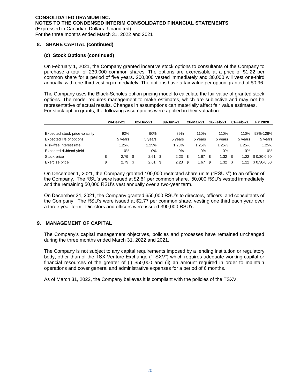## **(c) Stock Options (continued)**

On February 1, 2021, the Company granted incentive stock options to consultants of the Company to purchase a total of 230,000 common shares. The options are exercisable at a price of \$1.22 per common share for a period of five years. 200,000 vested immediately and 30,000 will vest one-third annually, with one-third vesting immediately. The options have a fair value per option granted of \$0.96.

The Company uses the Black-Scholes option pricing model to calculate the fair value of granted stock options. The model requires management to make estimates, which are subjective and may not be representative of actual results. Changes in assumptions can materially affect fair value estimates. For stock option grants, the following assumptions were applied in their valuation:

|                                 | 24-Dec-21       |     | 02-Dec-21 |      | 09-Jun-21 |      | 26-Mar-21 | 26-Feb-21  |       | 01-Feb-21  | FY 2020        |
|---------------------------------|-----------------|-----|-----------|------|-----------|------|-----------|------------|-------|------------|----------------|
|                                 |                 |     |           |      |           |      |           |            |       |            |                |
| Expected stock price volatility | 92%             |     | 90%       |      | 89%       |      | 110%      | 110%       |       | 110%       | 93%-128%       |
| Expected life of options        | 5 years         |     | 5 years   |      | 5 years   |      | 5 years   | 5 years    |       | 5 years    | 5 years        |
| Risk-free interest rate         | 1.25%           |     | 1.25%     |      | .25%      |      | 1.25%     | 1.25%      |       | 1.25%      | 1.25%          |
| Expected dividend yield         | 0%              |     | $0\%$     |      | $0\%$     |      | $0\%$     |            | $0\%$ | 0%         | 0%             |
| Stock price                     | \$<br>$2.79$ \$ |     | 2.61      | - \$ | 2.23      | - \$ | .67       | \$<br>1.32 |       | \$<br>1.22 | $$0.30 - 0.60$ |
| Exercise price                  | \$<br>2.79      | \$. | 2.61      | - \$ | 2.23      |      | .67       | \$<br>1.32 |       | \$<br>1.22 | $$0.30 - 0.60$ |

On December 1, 2021, the Company granted 100,000 restricted share units ("RSU's") to an officer of the Company. The RSU's were issued at \$2.61 per common share. 50,000 RSU's vested immediately and the remaining 50,000 RSU's vest annually over a two-year term.

On December 24, 2021, the Company granted 650,000 RSU's to directors, officers, and consultants of the Company. The RSU's were issued at \$2.77 per common share, vesting one third each year over a three year term. Directors and officers were issued 390,000 RSU's.

## **9. MANAGEMENT OF CAPITAL**

The Company's capital management objectives, policies and processes have remained unchanged during the three months ended March 31, 2022 and 2021.

The Company is not subject to any capital requirements imposed by a lending institution or regulatory body, other than of the TSX Venture Exchange ("TSXV") which requires adequate working capital or financial resources of the greater of (i) \$50,000 and (ii) an amount required in order to maintain operations and cover general and administrative expenses for a period of 6 months.

As of March 31, 2022, the Company believes it is compliant with the policies of the TSXV.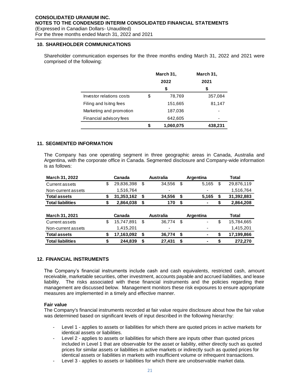## **10. SHAREHOLDER COMMUNICATIONS**

Shareholder communication expenses for the three months ending March 31, 2022 and 2021 were comprised of the following:

|                          |      | March 31, | March 31, |
|--------------------------|------|-----------|-----------|
|                          | 2022 |           | 2021      |
|                          |      | \$        | \$        |
| Investor relations costs | \$   | 78,769    | 357,084   |
| Filing and Isitng fees   |      | 151,665   | 81,147    |
| Marketing and promotion  |      | 187,036   |           |
| Financial advisory fees  |      | 642,605   |           |
|                          | S    | 1,060,075 | 438,231   |

## **11. SEGMENTED INFORMATION**

The Company has one operating segment in three geographic areas in Canada, Australia and Argentina, with the corporate office in Canada. Segmented disclosure and Company-wide information is as follows:

| March 31, 2022           | Canada           |    | <b>Australia</b> | Argentina   | Total            |
|--------------------------|------------------|----|------------------|-------------|------------------|
| Current assets           | \$<br>29,836,398 | \$ | 34,556           | \$<br>5,165 | \$<br>29,876,119 |
| Non-current assets       | 1,516,764        |    | ۰                |             | 1,516,764        |
| <b>Total assets</b>      | \$<br>31,353,162 | \$ | 34,556           | \$<br>5,165 | \$<br>31,392,883 |
| <b>Total liabilities</b> | \$<br>2,864,038  | \$ | 170              | \$<br>۰     | \$<br>2,864,208  |
|                          |                  |    |                  |             |                  |
|                          |                  |    |                  |             |                  |
| March 31, 2021           | Canada           |    | <b>Australia</b> | Argentina   | Total            |
| Current assets           | \$<br>15,747,891 | \$ | 36,774           | \$<br>۰     | \$<br>15,784,665 |
| Non-current assets       | 1,415,201        |    | ٠                |             | 1,415,201        |
| <b>Total assets</b>      | \$<br>17,163,092 | S  | 36,774           | \$<br>۰     | \$<br>17,199,866 |

## **12. FINANCIAL INSTRUMENTS**

The Company's financial instruments include cash and cash equivalents, restricted cash, amount receivable, marketable securities, other investment, accounts payable and accrued liabilities, and lease liability. The risks associated with these financial instruments and the policies regarding their management are discussed below. Management monitors these risk exposures to ensure appropriate measures are implemented in a timely and effective manner.

## **Fair value**

The Company's financial instruments recorded at fair value require disclosure about how the fair value was determined based on significant levels of input described in the following hierarchy:

- Level 1 applies to assets or liabilities for which there are quoted prices in active markets for identical assets or liabilities.
- Level 2 applies to assets or liabilities for which there are inputs other than quoted prices included in Level 1 that are observable for the asset or liability, either directly such as quoted prices for similar assets or liabilities in active markets or indirectly such as quoted prices for identical assets or liabilities in markets with insufficient volume or infrequent transactions.
- Level 3 applies to assets or liabilities for which there are unobservable market data.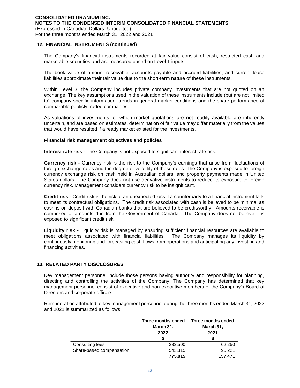## **12. FINANCIAL INSTRUMENTS (continued)**

The Company's financial instruments recorded at fair value consist of cash, restricted cash and marketable securities and are measured based on Level 1 inputs.

The book value of amount receivable, accounts payable and accrued liabilities, and current lease liabilities approximate their fair value due to the short-term nature of these instruments.

Within Level 3, the Company includes private company investments that are not quoted on an exchange. The key assumptions used in the valuation of these instruments include (but are not limited to) company-specific information, trends in general market conditions and the share performance of comparable publicly traded companies.

As valuations of investments for which market quotations are not readily available are inherently uncertain, and are based on estimates, determination of fair value may differ materially from the values that would have resulted if a ready market existed for the investments.

#### **Financial risk management objectives and policies**

**Interest rate risk -** The Company is not exposed to significant interest rate risk.

**Currency risk -** Currency risk is the risk to the Company's earnings that arise from fluctuations of foreign exchange rates and the degree of volatility of these rates. The Company is exposed to foreign currency exchange risk on cash held in Australian dollars, and property payments made in United States dollars. The Company does not use derivative instruments to reduce its exposure to foreign currency risk. Management considers currency risk to be insignificant.

**Credit risk -** Credit risk is the risk of an unexpected loss if a counterparty to a financial instrument fails to meet its contractual obligations. The credit risk associated with cash is believed to be minimal as cash is on deposit with Canadian banks that are believed to be creditworthy. Amounts receivable is comprised of amounts due from the Government of Canada. The Company does not believe it is exposed to significant credit risk.

**Liquidity risk -** Liquidity risk is managed by ensuring sufficient financial resources are available to meet obligations associated with financial liabilities. The Company manages its liquidity by continuously monitoring and forecasting cash flows from operations and anticipating any investing and financing activities.

## **13. RELATED PARTY DISCLOSURES**

Key management personnel include those persons having authority and responsibility for planning, directing and controlling the activities of the Company. The Company has determined that key management personnel consist of executive and non-executive members of the Company's Board of Directors and corporate officers.

Remuneration attributed to key management personnel during the three months ended March 31, 2022 and 2021 is summarized as follows:

|                          | Three months ended<br>March 31,<br>2022 | Three months ended<br>March 31,<br>2021 |  |  |
|--------------------------|-----------------------------------------|-----------------------------------------|--|--|
| Consulting fees          | 232,500                                 | 62,250                                  |  |  |
| Share-based compensation | 543,315                                 | 95.221                                  |  |  |
|                          | 775,815                                 | 157,471                                 |  |  |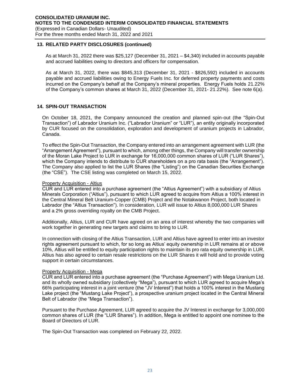## **13. RELATED PARTY DISCLOSURES (continued)**

As at March 31, 2022 there was \$25,127 (December 31, 2021 – \$4,340) included in accounts payable and accrued liabilities owing to directors and officers for compensation.

As at March 31, 2022, there was \$845,313 (December 31, 2021 - \$826,592) included in accounts payable and accrued liabilities owing to Energy Fuels Inc. for deferred property payments and costs incurred on the Company's behalf at the Company's mineral properties. Energy Fuels holds 21.22% of the Company's common shares at March 31, 2022 (December 31, 2021- 21.22%). See note 6(a).

## **14. SPIN-OUT TRANSACTION**

On October 18, 2021, the Company announced the creation and planned spin-out (the "Spin-Out Transaction") of Labrador Uranium Inc. ("Labrador Uranium" or "LUR"), an entity originally incorporated by CUR focused on the consolidation, exploration and development of uranium projects in Labrador, Canada.

To effect the Spin-Out Transaction, the Company entered into an arrangement agreement with LUR (the "Arrangement Agreement"), pursuant to which, among other things, the Company will transfer ownership of the Moran Lake Project to LUR in exchange for 16,000,000 common shares of LUR ("LUR Shares"), which the Company intends to distribute to CUR shareholders on a pro rata basis (the "Arrangement"). The Company also applied to list the LUR Shares (the "Listing") on the Canadian Securities Exchange (the "CSE"). The CSE listing was completed on March 15, 2022.

## Property Acquisition - Altius

CUR and LUR entered into a purchase agreement (the "Altius Agreement") with a subsidiary of Altius Minerals Corporation ("Altius"), pursuant to which LUR agreed to acquire from Altius a 100% interest in the Central Mineral Belt Uranium-Copper (CMB) Project and the Notakwanon Project, both located in Labrador (the "Altius Transaction"). In consideration, LUR will issue to Altius 8,000,000 LUR Shares and a 2% gross overriding royalty on the CMB Project.

Additionally, Altius, LUR and CUR have agreed on an area of interest whereby the two companies will work together in generating new targets and claims to bring to LUR.

In connection with closing of the Altius Transaction, LUR and Altius have agreed to enter into an investor rights agreement pursuant to which, for so long as Altius' equity ownership in LUR remains at or above 10%, Altius will be entitled to equity participation rights to maintain its pro rata equity ownership in LUR. Altius has also agreed to certain resale restrictions on the LUR Shares it will hold and to provide voting support in certain circumstances.

#### Property Acquisition - Mega

CUR and LUR entered into a purchase agreement (the "Purchase Agreement") with Mega Uranium Ltd. and its wholly owned subsidiary (collectively "Mega"), pursuant to which LUR agreed to acquire Mega's 66% participating interest in a joint venture (the "JV Interest") that holds a 100% interest in the Mustang Lake project (the "Mustang Lake Project"), a prospective uranium project located in the Central Mineral Belt of Labrador (the "Mega Transaction").

Pursuant to the Purchase Agreement, LUR agreed to acquire the JV Interest in exchange for 3,000,000 common shares of LUR (the "LUR Shares"). In addition, Mega is entitled to appoint one nominee to the Board of Directors of LUR.

The Spin-Out Transaction was completed on February 22, 2022.